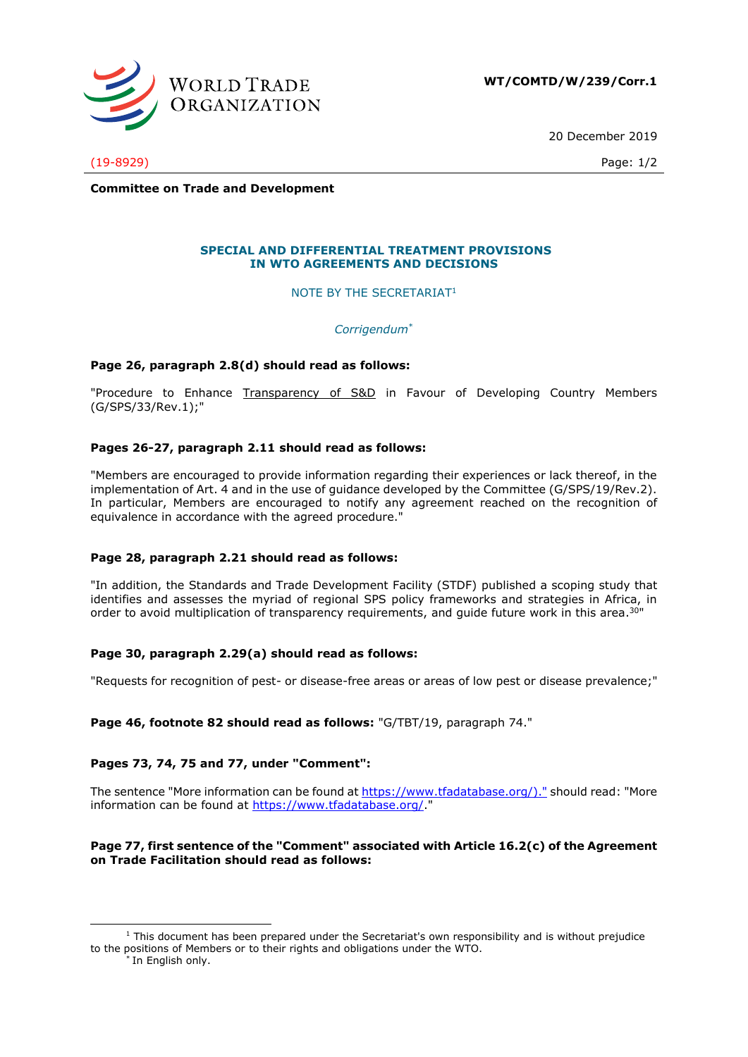

**WT/COMTD/W/239/Corr.1**

20 December 2019

(19-8929) Page: 1/2

**Committee on Trade and Development**

## **SPECIAL AND DIFFERENTIAL TREATMENT PROVISIONS IN WTO AGREEMENTS AND DECISIONS**

NOTE BY THE SECRETARIAT<sup>1</sup>

*Corrigendum*\*

# **Page 26, paragraph 2.8(d) should read as follows:**

"Procedure to Enhance Transparency of S&D in Favour of Developing Country Members (G/SPS/33/Rev.1);"

# **Pages 26-27, paragraph 2.11 should read as follows:**

"Members are encouraged to provide information regarding their experiences or lack thereof, in the implementation of Art. 4 and in the use of guidance developed by the Committee (G/SPS/19/Rev.2). In particular, Members are encouraged to notify any agreement reached on the recognition of equivalence in accordance with the agreed procedure."

## **Page 28, paragraph 2.21 should read as follows:**

"In addition, the Standards and Trade Development Facility (STDF) published a scoping study that identifies and assesses the myriad of regional SPS policy frameworks and strategies in Africa, in order to avoid multiplication of transparency requirements, and guide future work in this area.<sup>30</sup>"

## **Page 30, paragraph 2.29(a) should read as follows:**

"Requests for recognition of pest- or disease-free areas or areas of low pest or disease prevalence;"

**Page 46, footnote 82 should read as follows:** "G/TBT/19, paragraph 74."

# **Pages 73, 74, 75 and 77, under "Comment":**

The sentence "More information can be found at [https://www.tfadatabase.org/\).](https://www.tfadatabase.org/))" should read: "More information can be found at [https://www.tfadatabase.org/.](https://www.tfadatabase.org/)"

## **Page 77, first sentence of the "Comment" associated with Article 16.2(c) of the Agreement on Trade Facilitation should read as follows:**

-

 $1$  This document has been prepared under the Secretariat's own responsibility and is without prejudice to the positions of Members or to their rights and obligations under the WTO.

<sup>\*</sup> In English only.